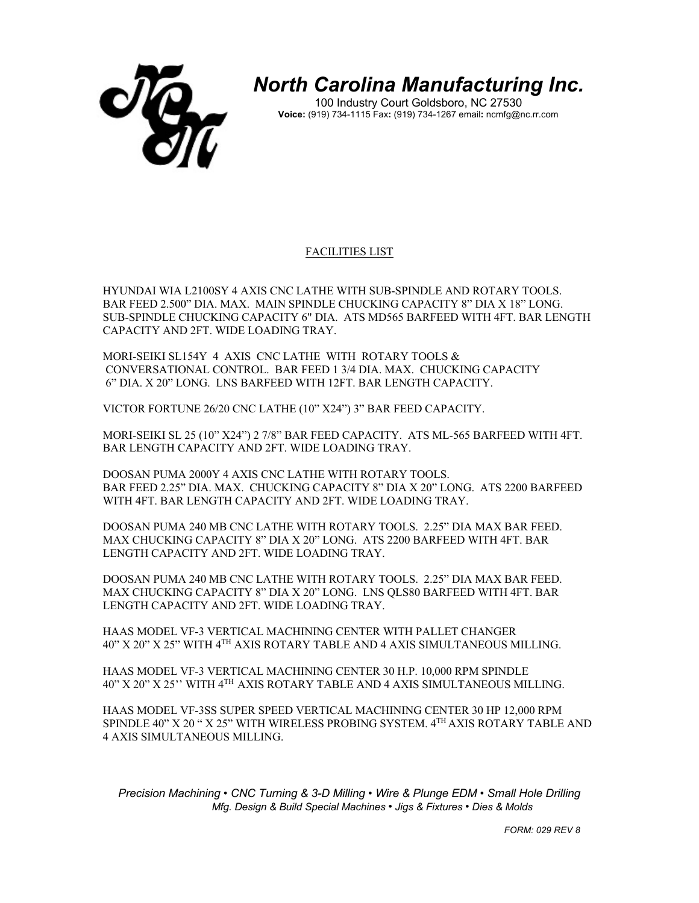

*North Carolina Manufacturing Inc.*

100 Industry Court Goldsboro, NC 27530 **Voice:** (919) 734-1115 Fax**:** (919) 734-1267 email**:** ncmfg@nc.rr.com

## FACILITIES LIST

HYUNDAI WIA L2100SY 4 AXIS CNC LATHE WITH SUB-SPINDLE AND ROTARY TOOLS. BAR FEED 2.500" DIA. MAX. MAIN SPINDLE CHUCKING CAPACITY 8" DIA X 18" LONG. SUB-SPINDLE CHUCKING CAPACITY 6" DIA. ATS MD565 BARFEED WITH 4FT. BAR LENGTH CAPACITY AND 2FT. WIDE LOADING TRAY.

MORI-SEIKI SL154Y 4 AXIS CNC LATHE WITH ROTARY TOOLS & CONVERSATIONAL CONTROL. BAR FEED 1 3/4 DIA. MAX. CHUCKING CAPACITY 6" DIA. X 20" LONG. LNS BARFEED WITH 12FT. BAR LENGTH CAPACITY.

VICTOR FORTUNE 26/20 CNC LATHE (10" X24") 3" BAR FEED CAPACITY.

MORI-SEIKI SL 25 (10" X24") 2 7/8" BAR FEED CAPACITY. ATS ML-565 BARFEED WITH 4FT. BAR LENGTH CAPACITY AND 2FT. WIDE LOADING TRAY.

DOOSAN PUMA 2000Y 4 AXIS CNC LATHE WITH ROTARY TOOLS. BAR FEED 2.25" DIA. MAX. CHUCKING CAPACITY 8" DIA X 20" LONG. ATS 2200 BARFEED WITH 4FT. BAR LENGTH CAPACITY AND 2FT. WIDE LOADING TRAY.

DOOSAN PUMA 240 MB CNC LATHE WITH ROTARY TOOLS. 2.25" DIA MAX BAR FEED. MAX CHUCKING CAPACITY 8" DIA X 20" LONG. ATS 2200 BARFEED WITH 4FT. BAR LENGTH CAPACITY AND 2FT. WIDE LOADING TRAY.

DOOSAN PUMA 240 MB CNC LATHE WITH ROTARY TOOLS. 2.25" DIA MAX BAR FEED. MAX CHUCKING CAPACITY 8" DIA X 20" LONG. LNS QLS80 BARFEED WITH 4FT. BAR LENGTH CAPACITY AND 2FT. WIDE LOADING TRAY.

HAAS MODEL VF-3 VERTICAL MACHINING CENTER WITH PALLET CHANGER 40" X 20" X 25" WITH 4TH AXIS ROTARY TABLE AND 4 AXIS SIMULTANEOUS MILLING.

HAAS MODEL VF-3 VERTICAL MACHINING CENTER 30 H.P. 10,000 RPM SPINDLE 40" X 20" X 25'' WITH 4TH AXIS ROTARY TABLE AND 4 AXIS SIMULTANEOUS MILLING.

HAAS MODEL VF-3SS SUPER SPEED VERTICAL MACHINING CENTER 30 HP 12,000 RPM SPINDLE 40" X 20 " X 25" WITH WIRELESS PROBING SYSTEM. 4TH AXIS ROTARY TABLE AND 4 AXIS SIMULTANEOUS MILLING.

*Precision Machining • CNC Turning & 3-D Milling • Wire & Plunge EDM • Small Hole Drilling Mfg. Design & Build Special Machines • Jigs & Fixtures • Dies & Molds* 

 *FORM: 029 REV 8*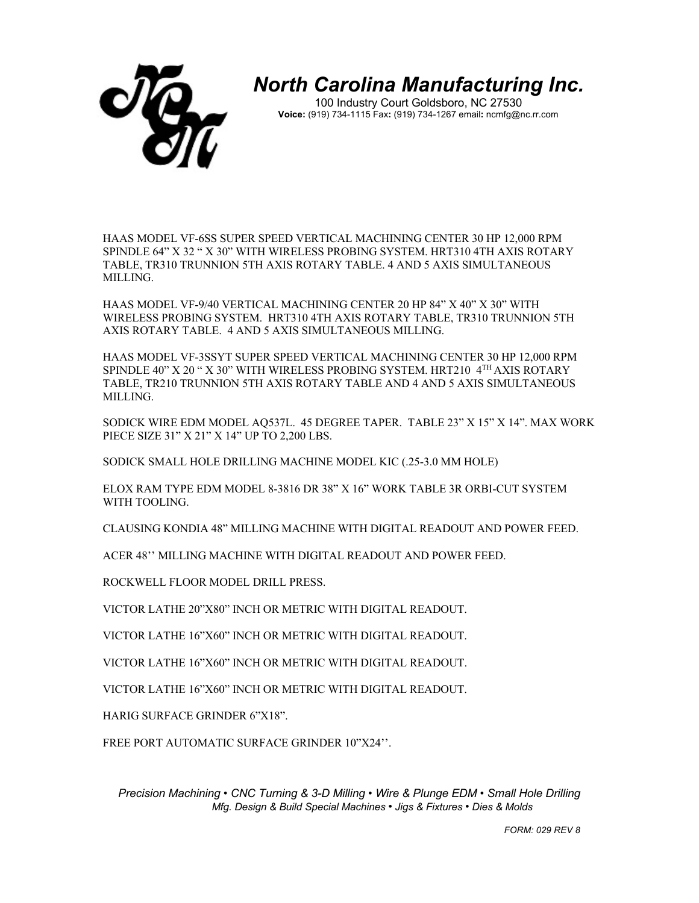

*North Carolina Manufacturing Inc.*

100 Industry Court Goldsboro, NC 27530 **Voice:** (919) 734-1115 Fax**:** (919) 734-1267 email**:** ncmfg@nc.rr.com

HAAS MODEL VF-6SS SUPER SPEED VERTICAL MACHINING CENTER 30 HP 12,000 RPM SPINDLE 64" X 32 " X 30" WITH WIRELESS PROBING SYSTEM. HRT310 4TH AXIS ROTARY TABLE, TR310 TRUNNION 5TH AXIS ROTARY TABLE. 4 AND 5 AXIS SIMULTANEOUS MILLING.

HAAS MODEL VF-9/40 VERTICAL MACHINING CENTER 20 HP 84" X 40" X 30" WITH WIRELESS PROBING SYSTEM. HRT310 4TH AXIS ROTARY TABLE, TR310 TRUNNION 5TH AXIS ROTARY TABLE. 4 AND 5 AXIS SIMULTANEOUS MILLING.

HAAS MODEL VF-3SSYT SUPER SPEED VERTICAL MACHINING CENTER 30 HP 12,000 RPM SPINDLE 40" X 20 " X 30" WITH WIRELESS PROBING SYSTEM. HRT210 4TH AXIS ROTARY TABLE, TR210 TRUNNION 5TH AXIS ROTARY TABLE AND 4 AND 5 AXIS SIMULTANEOUS MILLING.

SODICK WIRE EDM MODEL AQ537L. 45 DEGREE TAPER. TABLE 23" X 15" X 14". MAX WORK PIECE SIZE 31" X 21" X 14" UP TO 2,200 LBS.

SODICK SMALL HOLE DRILLING MACHINE MODEL KIC (.25-3.0 MM HOLE)

ELOX RAM TYPE EDM MODEL 8-3816 DR 38" X 16" WORK TABLE 3R ORBI-CUT SYSTEM WITH TOOLING.

CLAUSING KONDIA 48" MILLING MACHINE WITH DIGITAL READOUT AND POWER FEED.

ACER 48'' MILLING MACHINE WITH DIGITAL READOUT AND POWER FEED.

ROCKWELL FLOOR MODEL DRILL PRESS.

VICTOR LATHE 20"X80" INCH OR METRIC WITH DIGITAL READOUT.

VICTOR LATHE 16"X60" INCH OR METRIC WITH DIGITAL READOUT.

VICTOR LATHE 16"X60" INCH OR METRIC WITH DIGITAL READOUT.

VICTOR LATHE 16"X60" INCH OR METRIC WITH DIGITAL READOUT.

HARIG SURFACE GRINDER 6"X18".

FREE PORT AUTOMATIC SURFACE GRINDER 10"X24''.

*Precision Machining • CNC Turning & 3-D Milling • Wire & Plunge EDM • Small Hole Drilling Mfg. Design & Build Special Machines • Jigs & Fixtures • Dies & Molds* 

 *FORM: 029 REV 8*